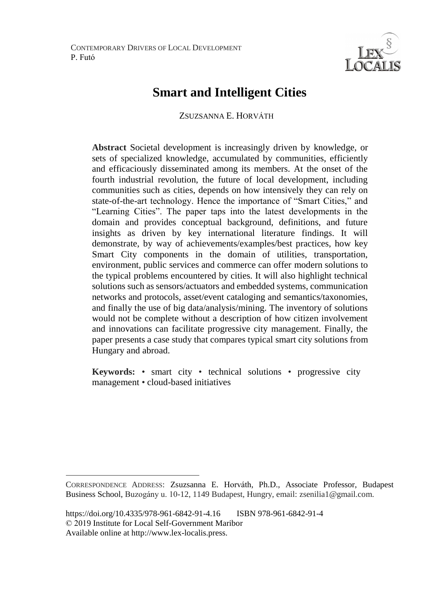CONTEMPORARY DRIVERS OF LOCAL DEVELOPMENT P. Futó



# **Smart and Intelligent Cities**

ZSUZSANNA E. HORVÁTH

**Abstract** Societal development is increasingly driven by knowledge, or sets of specialized knowledge, accumulated by communities, efficiently and efficaciously disseminated among its members. At the onset of the fourth industrial revolution, the future of local development, including communities such as cities, depends on how intensively they can rely on state-of-the-art technology. Hence the importance of "Smart Cities," and "Learning Cities". The paper taps into the latest developments in the domain and provides conceptual background, definitions, and future insights as driven by key international literature findings. It will demonstrate, by way of achievements/examples/best practices, how key Smart City components in the domain of utilities, transportation, environment, public services and commerce can offer modern solutions to the typical problems encountered by cities. It will also highlight technical solutions such as sensors/actuators and embedded systems, communication networks and protocols, asset/event cataloging and semantics/taxonomies, and finally the use of big data/analysis/mining. The inventory of solutions would not be complete without a description of how citizen involvement and innovations can facilitate progressive city management. Finally, the paper presents a case study that compares typical smart city solutions from Hungary and abroad.

**Keywords:** • smart city • technical solutions • progressive city management • cloud-based initiatives

 $\overline{a}$ 

CORRESPONDENCE ADDRESS: Zsuzsanna E. Horváth, Ph.D., Associate Professor, Budapest Business School, Buzogány u. 10-12, 1149 Budapest, Hungry, email: zsenilia1@gmail.com.

https://doi.org/10.4335/978-961-6842-91-4.16 ISBN 978-961-6842-91-4 © 2019 Institute for Local Self-Government Maribor Available online at http://www.lex-localis.press.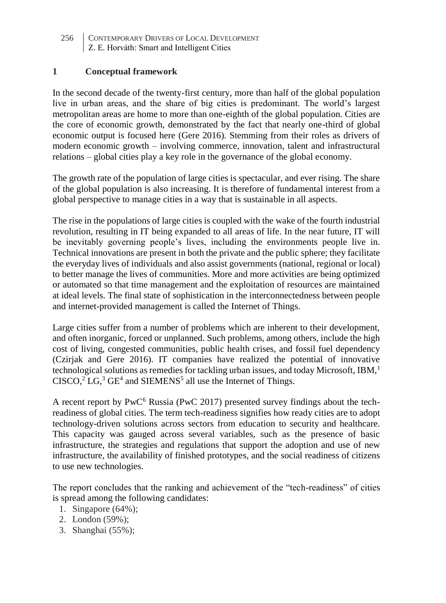## **1 Conceptual framework**

In the second decade of the twenty-first century, more than half of the global population live in urban areas, and the share of big cities is predominant. The world's largest metropolitan areas are home to more than one-eighth of the global population. Cities are the core of economic growth, demonstrated by the fact that nearly one-third of global economic output is focused here (Gere 2016). Stemming from their roles as drivers of modern economic growth – involving commerce, innovation, talent and infrastructural relations – global cities play a key role in the governance of the global economy.

The growth rate of the population of large cities is spectacular, and ever rising. The share of the global population is also increasing. It is therefore of fundamental interest from a global perspective to manage cities in a way that is sustainable in all aspects.

The rise in the populations of large cities is coupled with the wake of the fourth industrial revolution, resulting in IT being expanded to all areas of life. In the near future, IT will be inevitably governing people's lives, including the environments people live in. Technical innovations are present in both the private and the public sphere; they facilitate the everyday lives of individuals and also assist governments (national, regional or local) to better manage the lives of communities. More and more activities are being optimized or automated so that time management and the exploitation of resources are maintained at ideal levels. The final state of sophistication in the interconnectedness between people and internet-provided management is called the Internet of Things.

Large cities suffer from a number of problems which are inherent to their development, and often inorganic, forced or unplanned. Such problems, among others, include the high cost of living, congested communities, public health crises, and fossil fuel dependency (Czirjak and Gere 2016). IT companies have realized the potential of innovative technological solutions as remedies for tackling urban issues, and today Microsoft, IBM, $<sup>1</sup>$ </sup>  $CISCO<sup>3</sup>$  LG,<sup>3</sup> GE<sup>4</sup> and SIEMENS<sup>5</sup> all use the Internet of Things.

A recent report by  $PWC^6$  Russia (PwC 2017) presented survey findings about the techreadiness of global cities. The term tech-readiness signifies how ready cities are to adopt technology-driven solutions across sectors from education to security and healthcare. This capacity was gauged across several variables, such as the presence of basic infrastructure, the strategies and regulations that support the adoption and use of new infrastructure, the availability of finished prototypes, and the social readiness of citizens to use new technologies.

The report concludes that the ranking and achievement of the "tech-readiness" of cities is spread among the following candidates:

- 1. Singapore (64%);
- 2. London (59%);
- 3. Shanghai (55%);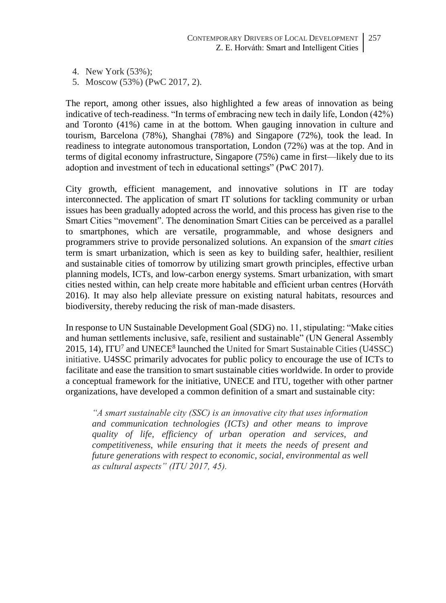- 4. New York (53%);
- 5. Moscow (53%) (PwC 2017, 2).

The report, among other issues, also highlighted a few areas of innovation as being indicative of tech-readiness. "In terms of embracing new tech in daily life, London (42%) and Toronto (41%) came in at the bottom. When gauging innovation in culture and tourism, Barcelona (78%), Shanghai (78%) and Singapore (72%), took the lead. In readiness to integrate autonomous transportation, London (72%) was at the top. And in terms of digital economy infrastructure, Singapore (75%) came in first—likely due to its adoption and investment of tech in educational settings" (PwC 2017).

City growth, efficient management, and innovative solutions in IT are today interconnected. The application of smart IT solutions for tackling community or urban issues has been gradually adopted across the world, and this process has given rise to the Smart Cities "movement". The denomination Smart Cities can be perceived as a parallel to smartphones, which are versatile, programmable, and whose designers and programmers strive to provide personalized solutions. An expansion of the *smart cities* term is smart urbanization, which is seen as key to building safer, healthier, resilient and sustainable cities of tomorrow by utilizing smart growth principles, effective urban planning models, ICTs, and low-carbon energy systems. Smart urbanization, with smart cities nested within, can help create more habitable and efficient urban centres (Horváth 2016). It may also help alleviate pressure on existing natural habitats, resources and biodiversity, thereby reducing the risk of man-made disasters.

In response to UN Sustainable Development Goal (SDG) no. 11, stipulating: "Make cities and human settlements inclusive, safe, resilient and sustainable" (UN General Assembly  $2015$ , 14), ITU<sup>7</sup> and UNECE<sup>8</sup> launched the United for Smart Sustainable Cities (U4SSC) initiative. U4SSC primarily advocates for public policy to encourage the use of ICTs to facilitate and ease the transition to smart sustainable cities worldwide. In order to provide a conceptual framework for the initiative, UNECE and ITU, together with other partner organizations, have developed a common definition of a smart and sustainable city:

*"A smart sustainable city (SSC) is an innovative city that uses information and communication technologies (ICTs) and other means to improve quality of life, efficiency of urban operation and services, and competitiveness, while ensuring that it meets the needs of present and future generations with respect to economic, social, environmental as well as cultural aspects" (ITU 2017, 45).*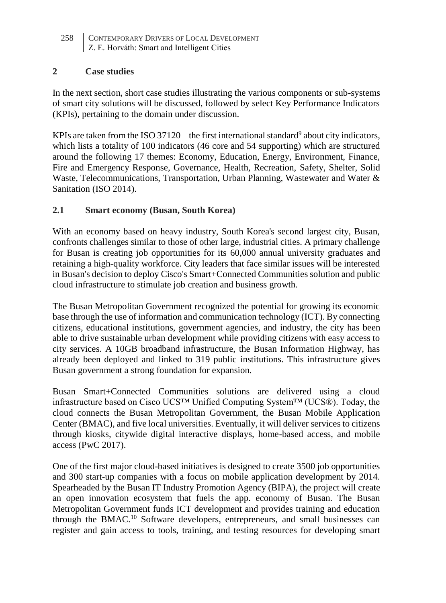#### **2 Case studies**

In the next section, short case studies illustrating the various components or sub-systems of smart city solutions will be discussed, followed by select Key Performance Indicators (KPIs), pertaining to the domain under discussion.

KPIs are taken from the ISO 37120 – the first international standard<sup>9</sup> about city indicators, which lists a totality of 100 indicators (46 core and 54 supporting) which are structured around the following 17 themes: Economy, Education, Energy, Environment, Finance, Fire and Emergency Response, Governance, Health, Recreation, Safety, Shelter, Solid Waste, Telecommunications, Transportation, Urban Planning, Wastewater and Water & Sanitation (ISO 2014).

## **2.1 Smart economy (Busan, South Korea)**

With an economy based on heavy industry, South Korea's second largest city, Busan, confronts challenges similar to those of other large, industrial cities. A primary challenge for Busan is creating job opportunities for its 60,000 annual university graduates and retaining a high-quality workforce. City leaders that face similar issues will be interested in Busan's decision to deploy Cisco's Smart+Connected Communities solution and public cloud infrastructure to stimulate job creation and business growth.

The Busan Metropolitan Government recognized the potential for growing its economic base through the use of information and communication technology (ICT). By connecting citizens, educational institutions, government agencies, and industry, the city has been able to drive sustainable urban development while providing citizens with easy access to city services. A 10GB broadband infrastructure, the Busan Information Highway, has already been deployed and linked to 319 public institutions. This infrastructure gives Busan government a strong foundation for expansion.

Busan Smart+Connected Communities solutions are delivered using a cloud infrastructure based on Cisco UCS™ Unified Computing System™ (UCS®). Today, the cloud connects the Busan Metropolitan Government, the Busan Mobile Application Center (BMAC), and five local universities. Eventually, it will deliver services to citizens through kiosks, citywide digital interactive displays, home-based access, and mobile access (PwC 2017).

One of the first major cloud-based initiatives is designed to create 3500 job opportunities and 300 start-up companies with a focus on mobile application development by 2014. Spearheaded by the Busan IT Industry Promotion Agency (BIPA), the project will create an open innovation ecosystem that fuels the app. economy of Busan. The Busan Metropolitan Government funds ICT development and provides training and education through the BMAC.<sup>10</sup> Software developers, entrepreneurs, and small businesses can register and gain access to tools, training, and testing resources for developing smart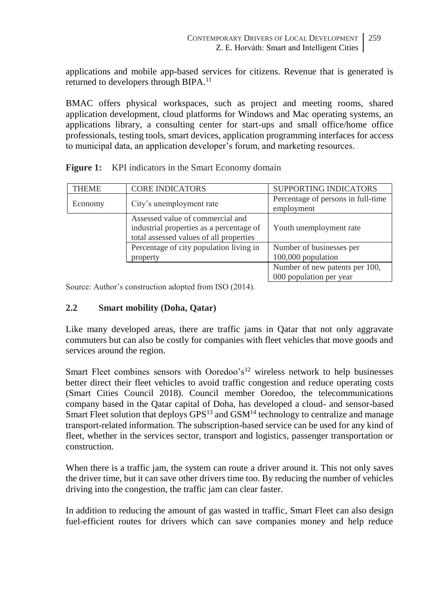applications and mobile app-based services for citizens. Revenue that is generated is returned to developers through BIPA.<sup>11</sup>

BMAC offers physical workspaces, such as project and meeting rooms, shared application development, cloud platforms for Windows and Mac operating systems, an applications library, a consulting center for start-ups and small office/home office professionals, testing tools, smart devices, application programming interfaces for access to municipal data, an application developer's forum, and marketing resources.

| <b>THEME</b> | <b>CORE INDICATORS</b>                                                                                                  | <b>SUPPORTING INDICATORS</b>                              |
|--------------|-------------------------------------------------------------------------------------------------------------------------|-----------------------------------------------------------|
| Economy      | City's unemployment rate                                                                                                | Percentage of persons in full-time<br>employment          |
|              | Assessed value of commercial and<br>industrial properties as a percentage of<br>total assessed values of all properties | Youth unemployment rate                                   |
|              | Percentage of city population living in                                                                                 | Number of businesses per                                  |
|              | property                                                                                                                | 100,000 population                                        |
|              |                                                                                                                         | Number of new patents per 100,<br>000 population per year |

**Figure 1:** KPI indicators in the Smart Economy domain

Source: Author's construction adopted from ISO (2014).

## **2.2 Smart mobility (Doha, Qatar)**

Like many developed areas, there are traffic jams in Qatar that not only aggravate commuters but can also be costly for companies with fleet vehicles that move goods and services around the region.

Smart Fleet combines sensors with Ooredoo's<sup>12</sup> wireless network to help businesses better direct their fleet vehicles to avoid traffic congestion and reduce operating costs (Smart Cities Council 2018). Council member Ooredoo, the telecommunications company based in the Qatar capital of Doha, has developed a cloud- and sensor-based Smart Fleet solution that deploys GPS<sup>13</sup> and GSM<sup>14</sup> technology to centralize and manage transport-related information. The subscription-based service can be used for any kind of fleet, whether in the services sector, transport and logistics, passenger transportation or construction.

When there is a traffic jam, the system can route a driver around it. This not only saves the driver time, but it can save other drivers time too. By reducing the number of vehicles driving into the congestion, the traffic jam can clear faster.

In addition to reducing the amount of gas wasted in traffic, Smart Fleet can also design fuel-efficient routes for drivers which can save companies money and help reduce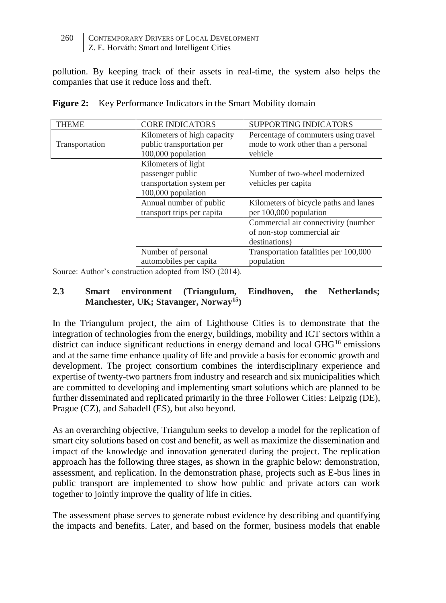pollution. By keeping track of their assets in real-time, the system also helps the companies that use it reduce loss and theft.

| <b>THEME</b>   | <b>CORE INDICATORS</b>      | <b>SUPPORTING INDICATORS</b>          |
|----------------|-----------------------------|---------------------------------------|
|                | Kilometers of high capacity | Percentage of commuters using travel  |
| Transportation | public transportation per   | mode to work other than a personal    |
|                | 100,000 population          | vehicle                               |
|                | Kilometers of light         |                                       |
|                | passenger public            | Number of two-wheel modernized        |
|                | transportation system per   | vehicles per capita                   |
|                | 100,000 population          |                                       |
|                | Annual number of public     | Kilometers of bicycle paths and lanes |
|                | transport trips per capita  | per 100,000 population                |
|                |                             | Commercial air connectivity (number   |
|                |                             | of non-stop commercial air            |
|                |                             | destinations)                         |
|                | Number of personal          | Transportation fatalities per 100,000 |
|                | automobiles per capita      | population                            |

|  |  |  | Figure 2: Key Performance Indicators in the Smart Mobility domain |
|--|--|--|-------------------------------------------------------------------|
|--|--|--|-------------------------------------------------------------------|

Source: Author's construction adopted from ISO (2014).

### **2.3 Smart environment (Triangulum, Eindhoven, the Netherlands; Manchester, UK; Stavanger, Norway<sup>15</sup>)**

In the Triangulum project, the aim of Lighthouse Cities is to demonstrate that the integration of technologies from the energy, buildings, mobility and ICT sectors within a district can induce significant reductions in energy demand and local GHG<sup>16</sup> emissions and at the same time enhance quality of life and provide a basis for economic growth and development. The project consortium combines the interdisciplinary experience and expertise of twenty-two partners from industry and research and six municipalities which are committed to developing and implementing smart solutions which are planned to be further disseminated and replicated primarily in the three Follower Cities: Leipzig (DE), Prague (CZ), and Sabadell (ES), but also beyond.

As an overarching objective, Triangulum seeks to develop a model for the replication of smart city solutions based on cost and benefit, as well as maximize the dissemination and impact of the knowledge and innovation generated during the project. The replication approach has the following three stages, as shown in the graphic below: demonstration, assessment, and replication. In the demonstration phase, projects such as E-bus lines in public transport are implemented to show how public and private actors can work together to jointly improve the quality of life in cities.

The assessment phase serves to generate robust evidence by describing and quantifying the impacts and benefits. Later, and based on the former, business models that enable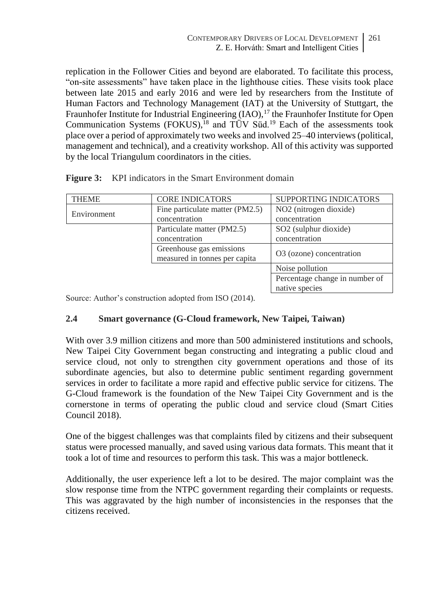replication in the Follower Cities and beyond are elaborated. To facilitate this process, "on-site assessments" have taken place in the lighthouse cities. These visits took place between late 2015 and early 2016 and were led by researchers from the Institute of Human Factors and Technology Management (IAT) at the University of Stuttgart, the Fraunhofer Institute for Industrial Engineering (IAO),<sup>17</sup> the Fraunhofer Institute for Open Communication Systems (FOKUS),<sup>18</sup> and  $\overline{TUV}$  Süd.<sup>19</sup> Each of the assessments took place over a period of approximately two weeks and involved 25–40 interviews (political, management and technical), and a creativity workshop. All of this activity was supported by the local Triangulum coordinators in the cities.

| <b>THEME</b> | <b>CORE INDICATORS</b>          | <b>SUPPORTING INDICATORS</b>         |
|--------------|---------------------------------|--------------------------------------|
| Environment  | Fine particulate matter (PM2.5) | NO <sub>2</sub> (nitrogen dioxide)   |
|              | concentration                   | concentration                        |
|              | Particulate matter (PM2.5)      | SO <sub>2</sub> (sulphur dioxide)    |
|              | concentration                   | concentration                        |
|              | Greenhouse gas emissions        | O <sub>3</sub> (ozone) concentration |
|              | measured in tonnes per capita   |                                      |
|              |                                 | Noise pollution                      |
|              |                                 | Percentage change in number of       |
|              |                                 | native species                       |

**Figure 3:** KPI indicators in the Smart Environment domain

Source: Author's construction adopted from ISO (2014).

## **2.4 Smart governance (G-Cloud framework, New Taipei, Taiwan)**

With over 3.9 million citizens and more than 500 administered institutions and schools, New Taipei City Government began constructing and integrating a public cloud and service cloud, not only to strengthen city government operations and those of its subordinate agencies, but also to determine public sentiment regarding government services in order to facilitate a more rapid and effective public service for citizens. The G-Cloud framework is the foundation of the New Taipei City Government and is the cornerstone in terms of operating the public cloud and service cloud (Smart Cities Council 2018).

One of the biggest challenges was that complaints filed by citizens and their subsequent status were processed manually, and saved using various data formats. This meant that it took a lot of time and resources to perform this task. This was a major bottleneck.

Additionally, the user experience left a lot to be desired. The major complaint was the slow response time from the NTPC government regarding their complaints or requests. This was aggravated by the high number of inconsistencies in the responses that the citizens received.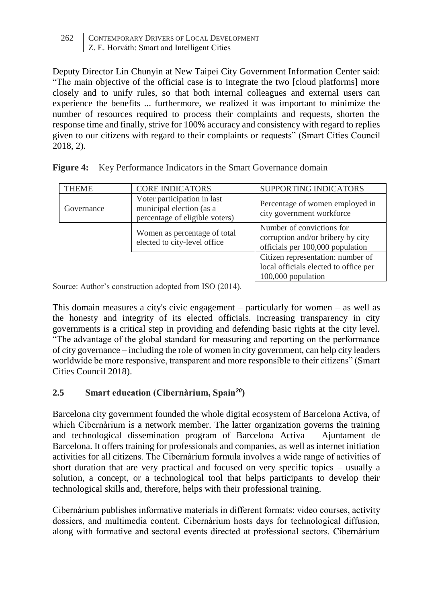Deputy Director Lin Chunyin at New Taipei City Government Information Center said: "The main objective of the official case is to integrate the two [cloud platforms] more closely and to unify rules, so that both internal colleagues and external users can experience the benefits ... furthermore, we realized it was important to minimize the number of resources required to process their complaints and requests, shorten the response time and finally, strive for 100% accuracy and consistency with regard to replies given to our citizens with regard to their complaints or requests" (Smart Cities Council 2018, 2).

| <b>THEME</b> | <b>CORE INDICATORS</b>                                                                    | SUPPORTING INDICATORS                                                                              |
|--------------|-------------------------------------------------------------------------------------------|----------------------------------------------------------------------------------------------------|
| Governance   | Voter participation in last<br>municipal election (as a<br>percentage of eligible voters) | Percentage of women employed in<br>city government workforce                                       |
|              | Women as percentage of total<br>elected to city-level office                              | Number of convictions for<br>corruption and/or bribery by city<br>officials per 100,000 population |
|              |                                                                                           | Citizen representation: number of<br>local officials elected to office per<br>100,000 population   |

Figure 4: Key Performance Indicators in the Smart Governance domain

Source: Author's construction adopted from ISO (2014).

This domain measures a city's civic engagement – particularly for women – as well as the honesty and integrity of its elected officials. Increasing transparency in city governments is a critical step in providing and defending basic rights at the city level. "The advantage of the global standard for measuring and reporting on the performance of city governance – including the role of women in city government, can help city leaders worldwide be more responsive, transparent and more responsible to their citizens" (Smart Cities Council 2018).

# **2.5 Smart education (Cibernàrium, Spain***<sup>20</sup>***)**

Barcelona city government founded the whole digital ecosystem of Barcelona Activa, of which Cibernàrium is a network member. The latter organization governs the training and technological dissemination program of Barcelona Activa – Ajuntament de Barcelona. It offers training for professionals and companies, as well as internet initiation activities for all citizens. The Cibernàrium formula involves a wide range of activities of short duration that are very practical and focused on very specific topics – usually a solution, a concept, or a technological tool that helps participants to develop their technological skills and, therefore, helps with their professional training.

Cibernàrium publishes informative materials in different formats: video courses, activity dossiers, and multimedia content. Cibernàrium hosts days for technological diffusion, along with formative and sectoral events directed at professional sectors. Cibernàrium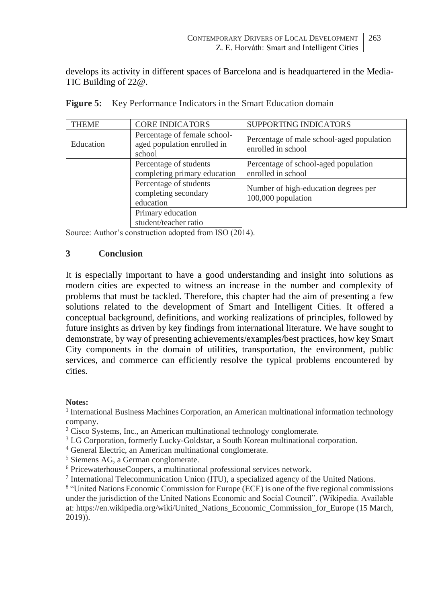develops its activity in different spaces of Barcelona and is headquartered in the Media-TIC Building of 22@.

| <b>THEME</b> | <b>CORE INDICATORS</b>                                                | <b>SUPPORTING INDICATORS</b>                                    |
|--------------|-----------------------------------------------------------------------|-----------------------------------------------------------------|
| Education    | Percentage of female school-<br>aged population enrolled in<br>school | Percentage of male school-aged population<br>enrolled in school |
|              | Percentage of students<br>completing primary education                | Percentage of school-aged population<br>enrolled in school      |
|              | Percentage of students<br>completing secondary<br>education           | Number of high-education degrees per<br>100,000 population      |
|              | Primary education<br>student/teacher ratio                            |                                                                 |

Source: Author's construction adopted from ISO (2014).

#### **3 Conclusion**

It is especially important to have a good understanding and insight into solutions as modern cities are expected to witness an increase in the number and complexity of problems that must be tackled. Therefore, this chapter had the aim of presenting a few solutions related to the development of Smart and Intelligent Cities. It offered a conceptual background, definitions, and working realizations of principles, followed by future insights as driven by key findings from international literature. We have sought to demonstrate, by way of presenting achievements/examples/best practices, how key Smart City components in the domain of utilities, transportation, the environment, public services, and commerce can efficiently resolve the typical problems encountered by cities.

#### **Notes:**

<sup>1</sup> International Business Machines Corporation, an American multinational information technology company.

- <sup>2</sup> Cisco Systems, Inc., an American multinational technology conglomerate.
- <sup>3</sup> LG Corporation, formerly Lucky-Goldstar, a South Korean multinational corporation.
- <sup>4</sup> General Electric, an American multinational conglomerate.
- <sup>5</sup> Siemens AG, a German conglomerate.
- <sup>6</sup> PricewaterhouseCoopers, a multinational professional services network.
- <sup>7</sup> International Telecommunication Union (ITU), a specialized agency of the United Nations.

8 "United Nations Economic Commission for Europe (ECE) is one of the five regional commissions under the jurisdiction of the United Nations Economic and Social Council". (Wikipedia. Available at: https://en.wikipedia.org/wiki/United\_Nations\_Economic\_Commission\_for\_Europe (15 March, 2019)).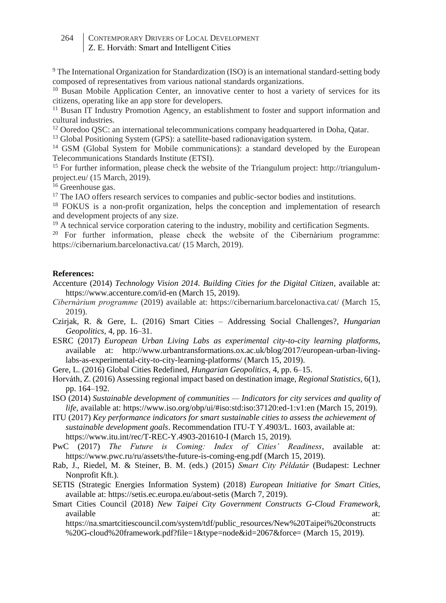<sup>9</sup> The International Organization for Standardization (ISO) is an international standard-setting body composed of representatives from various national standards organizations.

<sup>10</sup> Busan Mobile Application Center, an innovative center to host a variety of services for its citizens, operating like an app store for developers.

<sup>11</sup> Busan IT Industry Promotion Agency, an establishment to foster and support information and cultural industries.

<sup>12</sup> Ooredoo QSC: an international telecommunications company headquartered in Doha, Qatar.

<sup>13</sup> Global Positioning System (GPS): a satellite-based radionavigation system.

<sup>14</sup> GSM (Global System for Mobile communications): a standard developed by the European Telecommunications Standards Institute (ETSI).

<sup>15</sup> For further information, please check the website of the Triangulum project: http://triangulumproject.eu/ (15 March, 2019).

<sup>16</sup> Greenhouse gas.

<sup>17</sup> The IAO offers research services to companies and public-sector bodies and institutions.

<sup>18</sup> FOKUS is a non-profit organization, helps the conception and implementation of research and development projects of any size.

<sup>19</sup> A technical service corporation catering to the industry, mobility and certification Segments.

<sup>20</sup> For further information, please check the website of the Cibernàrium programme: https://cibernarium.barcelonactiva.cat/ (15 March, 2019).

#### **References:**

- Accenture (2014) *Technology Vision 2014. Building Cities for the Digital Citizen*, available at: https://www.accenture.com/id-en (March 15, 2019).
- *Cibernàrium programme* (2019) available at: https://cibernarium.barcelonactiva.cat/ (March 15, 2019).
- Czirjak, R. & Gere, L. (2016) Smart Cities Addressing Social Challenges?, *Hungarian Geopolitics,* 4, pp. 16–31.
- ESRC (2017) *European Urban Living Labs as experimental city-to-city learning platforms,* available at: http://www.urbantransformations.ox.ac.uk/blog/2017/european-urban-livinglabs-as-experimental-city-to-city-learning-platforms/ (March 15, 2019).
- Gere, L. (2016) Global Cities Redefined, *Hungarian Geopolitics,* 4, pp. 6–15.
- Horváth, Z. (2016) Assessing regional impact based on destination image, *Regional Statistics,* 6(1), pp. 164–192*.*
- ISO (2014) *Sustainable development of communities — Indicators for city services and quality of life,* available at: https://www.iso.org/obp/ui/#iso:std:iso:37120:ed-1:v1:en (March 15, 2019).

ITU (2017) *Key performance indicators for smart sustainable cities to assess the achievement of sustainable development goals*. Recommendation ITU-T Y.4903/L. 1603, available at: <https://www.itu.int/rec/T-REC-Y.4903-201610-I> (March 15, 2019).

- PwC (2017) *The Future is Coming: Index of Cities' Readiness*, available at: https://www.pwc.ru/ru/assets/the-future-is-coming-eng.pdf (March 15, 2019).
- Rab, J., Riedel, M. & Steiner, B. M. (eds.) (2015) *Smart City Példatár* (Budapest: Lechner Nonprofit Kft.).
- SETIS (Strategic Energies Information System) (2018) *European Initiative for Smart Cities*, available at: https://setis.ec.europa.eu/about-setis (March 7, 2019).
- Smart Cities Council (2018) *New Taipei City Government Constructs G-Cloud Framework*, available at:  $\overline{a}$  at:  $\overline{a}$  at:  $\overline{a}$  at:  $\overline{a}$  at:  $\overline{a}$

https://na.smartcitiescouncil.com/system/tdf/public\_resources/New%20Taipei%20constructs %20G-cloud%20framework.pdf?file=1&type=node&id=2067&force= (March 15, 2019).